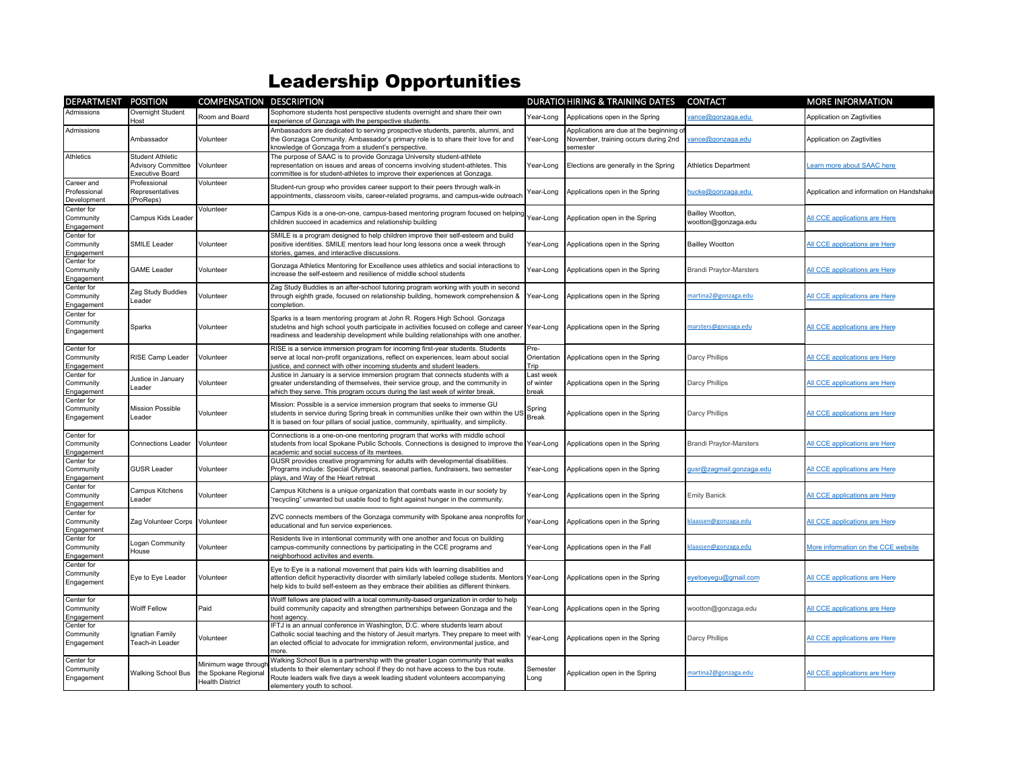## Leadership Opportunities

| DEPARTMENT                                | <b>POSITION</b>                                                         | <b>COMPENSATION DESCRIPTION</b>                                       |                                                                                                                                                                                                                                                                                   |                                 | <b>DURATIOIHIRING &amp; TRAINING DATES</b>                                                  | <b>CONTACT</b>                          | <b>MORE INFORMATION</b>                  |
|-------------------------------------------|-------------------------------------------------------------------------|-----------------------------------------------------------------------|-----------------------------------------------------------------------------------------------------------------------------------------------------------------------------------------------------------------------------------------------------------------------------------|---------------------------------|---------------------------------------------------------------------------------------------|-----------------------------------------|------------------------------------------|
| Admissions                                | Overnight Student<br>Host                                               | Room and Board                                                        | Sophomore students host perspective students overnight and share their own<br>experience of Gonzaga with the perspective students.                                                                                                                                                | Year-Long                       | Applications open in the Spring                                                             | ance@gonzaga.edu                        | Application on Zagtivities               |
| Admissions                                | Ambassador                                                              | Volunteer                                                             | Ambassadors are dedicated to serving prospective students, parents, alumni, and<br>the Gonzaga Community. Ambassador's primary role is to share their love for and<br>knowledge of Gonzaga from a student's perspective.                                                          | Year-Long                       | Applications are due at the beginning o<br>November, training occurs during 2nd<br>semester | ance@gonzaga.edu                        | Application on Zagtivities               |
| Athletics                                 | <b>Student Athletic</b><br><b>Advisory Committee</b><br>Executive Board | Volunteer                                                             | The purpose of SAAC is to provide Gonzaga University student-athlete<br>representation on issues and areas of concerns involving student-athletes. This<br>committee is for student-athletes to improve their experiences at Gonzaga.                                             | Year-Long                       | Elections are generally in the Spring                                                       | <b>Athletics Department</b>             | earn more about SAAC here                |
| Career and<br>Professional<br>Development | Professional<br>Representatives<br>(ProReps)                            | Volunteer                                                             | Student-run group who provides career support to their peers through walk-in<br>appointments, classroom visits, career-related programs, and campus-wide outreach                                                                                                                 | Year-Long                       | Applications open in the Spring                                                             | hucke@gonzaga.edu                       | Application and information on Handshake |
| Center for<br>Community<br>Engagement     | Campus Kids Leader                                                      | Volunteer                                                             | Campus Kids is a one-on-one, campus-based mentoring program focused on helpin<br>children succeed in academics and relationship building                                                                                                                                          | Year-Long                       | Application open in the Spring                                                              | Bailley Wootton,<br>wootton@gonzaga.edu | All CCE applications are Here            |
| Center for<br>Community<br>Engagement     | SMILE Leader                                                            | Volunteer                                                             | SMILE is a program designed to help children improve their self-esteem and build<br>positive identities. SMILE mentors lead hour long lessons once a week through<br>stories, games, and interactive discussions.                                                                 | Year-Long                       | Applications open in the Spring                                                             | <b>Bailley Wootton</b>                  | All CCE applications are Here            |
| Center for<br>Community<br>Engagement     | <b>GAME Leader</b>                                                      | Volunteer                                                             | Gonzaga Athletics Mentoring for Excellence uses athletics and social interactions to<br>increase the self-esteem and resilience of middle school students                                                                                                                         | Year-Long                       | Applications open in the Spring                                                             | <b>Brandi Praytor-Marsters</b>          | All CCE applications are Here            |
| Center for<br>Community<br>Engagement     | Zag Study Buddies<br>Leader                                             | Volunteer                                                             | Zag Study Buddies is an after-school tutoring program working with youth in second<br>through eighth grade, focused on relationship building, homework comprehension &<br>completion.                                                                                             | Year-Long                       | Applications open in the Spring                                                             | martina2@gonzaga.edu                    | All CCE applications are Here            |
| Center for<br>Community<br>Engagement     | Sparks                                                                  | Volunteer                                                             | Sparks is a team mentoring program at John R. Rogers High School. Gonzaga<br>studetns and high school youth participate in activities focused on college and career Year-Long<br>readiness and leadership development while building relationships with one another.              |                                 | Applications open in the Spring                                                             | marsters@gonzaga.edu                    | All CCE applications are Here            |
| Center for<br>Community<br>Engagement     | RISE Camp Leader                                                        | Volunteer                                                             | RISE is a service immersion program for incoming first-year students. Students<br>serve at local non-profit organizations, reflect on experiences, learn about social<br>ustice, and connect with other incoming students and student leaders.                                    | Pre-<br>Orientation<br>Trip     | Applications open in the Spring                                                             | Darcy Phillips                          | All CCE applications are Here            |
| Center for<br>Community<br>Engagement     | Justice in January<br>Leader                                            | Volunteer                                                             | Justice in January is a service immersion program that connects students with a<br>greater understanding of themselves, their service group, and the community in<br>which they serve. This program occurs during the last week of winter break.                                  | Last week<br>of winter<br>break | Applications open in the Spring                                                             | Darcy Phillips                          | All CCE applications are Here            |
| Center for<br>Community<br>Engagement     | <b>Mission Possible</b><br>Leader                                       | Volunteer                                                             | Mission: Possible is a service immersion program that seeks to immerse GU<br>students in service during Spring break in communities unlike their own within the US<br>It is based on four pillars of social justice, community, spirituality, and simplicity.                     | Spring<br><b>Break</b>          | Applications open in the Spring                                                             | Darcy Phillips                          | All CCE applications are Here            |
| Center for<br>Community<br>Engagement     | <b>Connections Leader</b>                                               | Volunteer                                                             | Connections is a one-on-one mentoring program that works with middle school<br>students from local Spokane Public Schools. Connections is designed to improve the Year-Long<br>academic and social success of its mentees.                                                        |                                 | Applications open in the Spring                                                             | <b>Brandi Praytor-Marsters</b>          | All CCE applications are Here            |
| Center for<br>Community<br>Engagement     | <b>GUSR Leader</b>                                                      | Volunteer                                                             | GUSR provides creative programming for adults with developmental disabilities.<br>Programs include: Special Olympics, seasonal parties, fundraisers, two semester<br>plays, and Way of the Heart retreat                                                                          | Year-Long                       | Applications open in the Spring                                                             | qusr@zagmail.gonzaga.edu                | All CCE applications are Here            |
| Center for<br>Community<br>Engagement     | Campus Kitchens<br>Leader                                               | Volunteer                                                             | Campus Kitchens is a unique organization that combats waste in our society by<br>"recycling" unwanted but usable food to fight against hunger in the community.                                                                                                                   | Year-Long                       | Applications open in the Spring                                                             | <b>Emily Banick</b>                     | All CCE applications are Here            |
| Center for<br>Community<br>Engagement     | Zag Volunteer Corps                                                     | Volunteer                                                             | ZVC connects members of the Gonzaga community with Spokane area nonprofits fo<br>educational and fun service experiences.                                                                                                                                                         | Year-Long                       | Applications open in the Spring                                                             | klaassen@gonzaga.edu                    | All CCE applications are Here            |
| Center for<br>Community<br>Engagement     | Logan Community<br>House                                                | Volunteer                                                             | Residents live in intentional community with one another and focus on building<br>campus-community connections by participating in the CCE programs and<br>eighborhood activites and events.                                                                                      | Year-Long                       | Applications open in the Fall                                                               | klaassen@gonzaga.edu                    | More information on the CCE website      |
| Center for<br>Community<br>Engagement     | Eye to Eye Leader                                                       | Volunteer                                                             | Eye to Eye is a national movement that pairs kids with learning disabilities and<br>attention deficit hyperactivity disorder with similarly labeled college students. Mentors Year-Long<br>help kids to build self-esteem as they embrace their abilities as different thinkers.  |                                 | Applications open in the Spring                                                             | eyetoeyegu@gmail.com                    | All CCE applications are Here            |
| Center for<br>Community<br>Engagement     | Wolff Fellow                                                            | Paid                                                                  | Wolff fellows are placed with a local community-based organization in order to help<br>build community capacity and strengthen partnerships between Gonzaga and the<br>nost agency.                                                                                               | Year-Long                       | Applications open in the Spring                                                             | wootton@gonzaga.edu                     | All CCE applications are Here            |
| Center for<br>Community<br>Engagement     | Ignatian Family<br>Teach-in Leader                                      | Volunteer                                                             | FTJ is an annual conference in Washington, D.C. where students learn about<br>Catholic social teaching and the history of Jesuit martyrs. They prepare to meet with<br>an elected official to advocate for immigration reform, environmental justice, and<br>more                 | Year-Long                       | Applications open in the Spring                                                             | Darcy Phillips                          | All CCE applications are Here            |
| Center for<br>Community<br>Engagement     | Walking School Bus                                                      | Minimum wage throug<br>the Spokane Regional<br><b>Health District</b> | Walking School Bus is a partnership with the greater Logan community that walks<br>students to their elementary school if they do not have access to the bus route.<br>Route leaders walk five days a week leading student volunteers accompanying<br>elementery youth to school. | Semester<br>Long                | Application open in the Spring                                                              | martina2@gonzaga.edu                    | All CCE applications are Here            |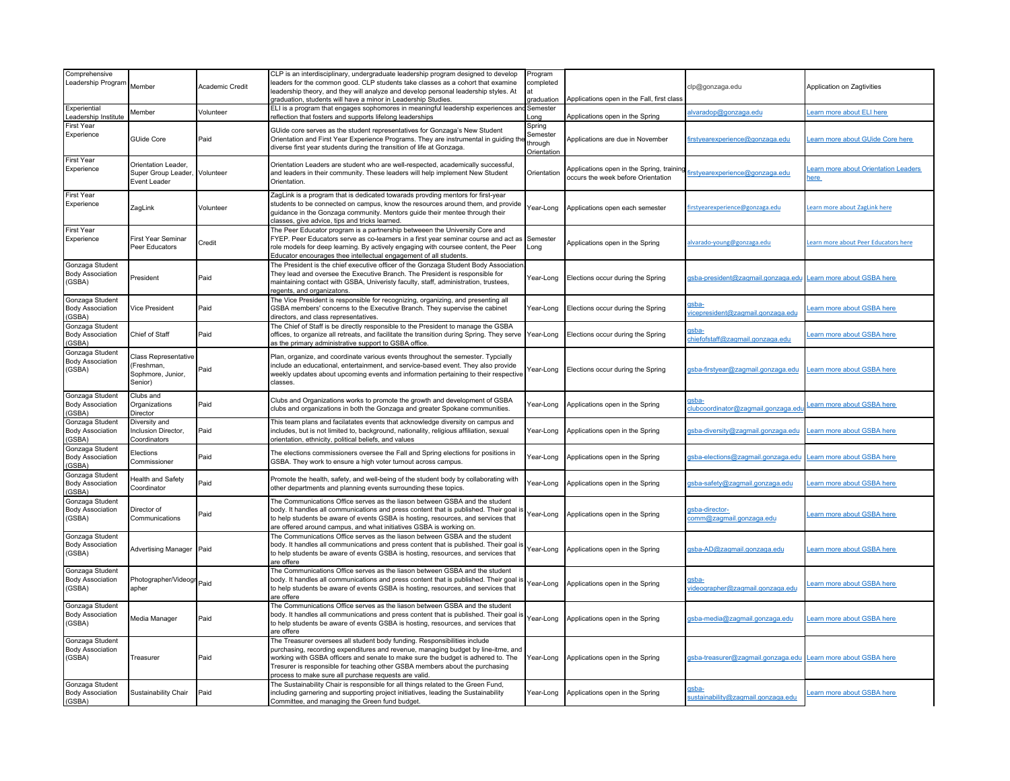| Comprehensive<br>Leadership Program                  | Member                                                                      | Academic Credit | CLP is an interdisciplinary, undergraduate leadership program designed to develop<br>leaders for the common good. CLP students take classes as a cohort that examine<br>leadership theory, and they will analyze and develop personal leadership styles. At<br>raduation, students will have a minor in Leadership Studies.                                                                 | Program<br>completed<br>at<br>graduation     | Applications open in the Fall, first class                                      | clp@gonzaga.edu                                  | Application on Zagtivities                 |
|------------------------------------------------------|-----------------------------------------------------------------------------|-----------------|---------------------------------------------------------------------------------------------------------------------------------------------------------------------------------------------------------------------------------------------------------------------------------------------------------------------------------------------------------------------------------------------|----------------------------------------------|---------------------------------------------------------------------------------|--------------------------------------------------|--------------------------------------------|
| Experiential<br>eadership Institute                  | Member                                                                      | Volunteer       | ELI is a program that engages sophomores in meaningful leadership experiences an<br>eflection that fosters and supports lifelong leaderships                                                                                                                                                                                                                                                | Semester<br>.ona                             | Applications open in the Spring                                                 | lvaradop@gonzaga.edu                             | earn more about ELI here                   |
| First Year<br>Experience                             | GUide Core                                                                  | Paid            | GUide core serves as the student representatives for Gonzaga's New Student<br>Orientation and First Year Experience Programs. They are instrumental in guiding th<br>diverse first year students during the transition of life at Gonzaga.                                                                                                                                                  | Spring<br>Semester<br>through<br>Orientation | Applications are due in November                                                | irstyearexperience@gonzaga.edu                   | earn more about GUide Core here            |
| First Year<br>Experience                             | Orientation Leader,<br>Super Group Leader, Volunteer<br><b>Event Leader</b> |                 | Orientation Leaders are student who are well-respected, academically successful,<br>and leaders in their community. These leaders will help implement New Student<br>Orientation.                                                                                                                                                                                                           | Orientation                                  | Applications open in the Spring, training<br>occurs the week before Orientation | firstvearexperience@gonzaga.edu                  | earn more about Orientation Leaders<br>ere |
| First Year<br>Experience                             | ZagLink                                                                     | Volunteer       | ZagLink is a program that is dedicated towarads provding mentors for first-year<br>students to be connected on campus, know the resources around them, and provide<br>guidance in the Gonzaga community. Mentors guide their mentee through their<br>classes, give advice, tips and tricks learned.                                                                                         | Year-Long                                    | Applications open each semester                                                 | irstyearexperience@gonzaga.edu                   | earn more about ZagLink here               |
| First Year<br>Experience                             | First Year Seminar<br>Peer Educators                                        | Credit          | The Peer Educator program is a partnership betweeen the University Core and<br>FYEP. Peer Educators serve as co-learners in a first year seminar course and act as<br>role models for deep learning. By actively engaging with coursee content, the Peer<br>Educator encourages thee intellectual engagement of all students.                                                               | Semester<br>Long                             | Applications open in the Spring                                                 | Ivarado-young@gonzaga.edu                        | earn more about Peer Educators here        |
| Gonzaga Student<br><b>Body Association</b><br>(GSBA) | President                                                                   | Paid            | The President is the chief executive officer of the Gonzaga Student Body Association<br>They lead and oversee the Executive Branch. The President is responsible for<br>maintaining contact with GSBA, Univeristy faculty, staff, administration, trustees,<br>regents, and organizatons                                                                                                    | Year-Long                                    | Elections occur during the Spring                                               | asba-president@zagmail.gonzaga.edu               | Learn more about GSBA here                 |
| Gonzaga Student<br><b>Body Association</b><br>(GSBA) | Vice President                                                              | Paid            | The Vice President is responsible for recognizing, organizing, and presenting all<br>GSBA members' concerns to the Executive Branch. They supervise the cabinet<br>directors, and class representatives                                                                                                                                                                                     | Year-Long                                    | Elections occur during the Spring                                               | <u>isba-</u><br>icepresident@zagmail.gonzaga.edu | earn more about GSBA here                  |
| Gonzaga Student<br>Body Association<br>(GSBA)        | Chief of Staff                                                              | Paid            | The Chief of Staff is be directly responsible to the President to manage the GSBA<br>offices, to organize all retreats, and facilitate the transition during Spring. They serve<br>as the primary administrative support to GSBA office.                                                                                                                                                    | Year-Long                                    | Elections occur during the Spring                                               | <u>isba-</u><br>hiefofstaff@zagmail.gonzaga.edu  | earn more about GSBA here                  |
| Gonzaga Student<br><b>Body Association</b><br>(GSBA) | <b>Class Representative</b><br>(Freshman,<br>Sophmore, Junior,<br>Senior)   | Paid            | Plan, organize, and coordinate various events throughout the semester. Typcially<br>include an educational, entertainment, and service-based event. They also provide<br>weekly updates about upcoming events and information pertaining to their respective<br>classes.                                                                                                                    | Year-Long                                    | Elections occur during the Spring                                               | sba-firstyear@zagmail.gonzaga.edu                | earn more about GSBA here                  |
| Gonzaga Student<br><b>Body Association</b><br>(GSBA) | Clubs and<br>Organizations<br>Director                                      | Paid            | Clubs and Organizations works to promote the growth and development of GSBA<br>clubs and organizations in both the Gonzaga and greater Spokane communities.                                                                                                                                                                                                                                 | Year-Long                                    | Applications open in the Spring                                                 | sba-<br>lubcoordinator@zagmail.gonzaga.ed        | earn more about GSBA here                  |
| Gonzaga Student<br><b>Body Association</b><br>GSBA)  | Diversity and<br>Inclusion Director,<br>Coordinators                        | Paid            | This team plans and facilatates events that acknowledge diversity on campus and<br>includes, but is not limited to, background, nationality, religious affiliation, sexual<br>orientation, ethnicity, political beliefs, and values                                                                                                                                                         | Year-Long                                    | Applications open in the Spring                                                 | asba-diversity@zagmail.gonzaga.edu               | earn more about GSBA here                  |
| Gonzaga Student<br><b>Body Association</b><br>(GSBA) | Elections<br>Commissioner                                                   | Paid            | The elections commissioners oversee the Fall and Spring elections for positions in<br>GSBA. They work to ensure a high voter turnout across campus.                                                                                                                                                                                                                                         | Year-Long                                    | Applications open in the Spring                                                 | sba-elections@zagmail.gonzaga.edu                | earn more about GSBA here                  |
| Gonzaga Student<br><b>Body Association</b><br>(GSBA) | <b>Health and Safety</b><br>Coordinator                                     | Paid            | Promote the health, safety, and well-being of the student body by collaborating with<br>other departments and planning events surrounding these topics.                                                                                                                                                                                                                                     | Year-Long                                    | Applications open in the Spring                                                 | sba-safety@zagmail.gonzaga.edu                   | earn more about GSBA here                  |
| Gonzaga Student<br><b>Body Association</b><br>(GSBA) | Director of<br>Communications                                               | Paid            | The Communications Office serves as the liason between GSBA and the student<br>body. It handles all communications and press content that is published. Their goal is<br>to help students be aware of events GSBA is hosting, resources, and services that<br>are offered around campus, and what initiatives GSBA is working on.                                                           | Year-Long                                    | Applications open in the Spring                                                 | sba-director-<br>omm@zagmail.gonzaga.edu         | earn more about GSBA here                  |
| Gonzaga Student<br><b>Body Association</b><br>(GSBA) | Advertising Manager Paid                                                    |                 | The Communications Office serves as the liason between GSBA and the student<br>body. It handles all communications and press content that is published. Their goal is<br>to help students be aware of events GSBA is hosting, resources, and services that<br>are offere                                                                                                                    | Year-Long                                    | Applications open in the Spring                                                 | sba-AD@zagmail.gonzaga.edu                       | earn more about GSBA here                  |
| Gonzaga Student<br><b>Body Association</b><br>(GSBA) | Photographer/Videogr Paid<br>apher                                          |                 | The Communications Office serves as the liason between GSBA and the student<br>body. It handles all communications and press content that is published. Their goal is<br>to help students be aware of events GSBA is hosting, resources, and services that<br>are offere                                                                                                                    | Year-Long                                    | Applications open in the Spring                                                 | <u>isba-</u><br>ideographer@zagmail.gonzaga.edu  | earn more about GSBA here                  |
| Gonzaga Student<br><b>Body Association</b><br>(GSBA) | Media Manager                                                               | Paid            | The Communications Office serves as the liason between GSBA and the student<br>body. It handles all communications and press content that is published. Their goal is<br>to help students be aware of events GSBA is hosting, resources, and services that<br>are offere                                                                                                                    | Year-Long                                    | Applications open in the Spring                                                 | sba-media@zagmail.gonzaga.edu                    | earn more about GSBA here                  |
| Gonzaga Student<br><b>Body Association</b><br>(GSBA) | Treasurer                                                                   | Paid            | The Treasurer oversees all student body funding. Responsibilities include<br>purchasing, recording expenditures and revenue, managing budget by line-itme, and<br>working with GSBA officers and senate to make sure the budget is adhered to. The<br>Tresurer is responsible for teaching other GSBA members about the purchasing<br>process to make sure all purchase requests are valid. | Year-Long                                    | Applications open in the Spring                                                 | asba-treasurer@zagmail.gonzaga.edu               | Learn more about GSBA here                 |
| Gonzaga Student<br><b>Body Association</b><br>(GSBA) | Sustainability Chair                                                        | Paid            | The Sustainability Chair is responsible for all things related to the Green Fund,<br>including garnering and supporting project initiatives, leading the Sustainability<br>Committee, and managing the Green fund budget.                                                                                                                                                                   | Year-Long                                    | Applications open in the Spring                                                 | sba-<br>ustainability@zagmail.gonzaga.edu        | earn more about GSBA here                  |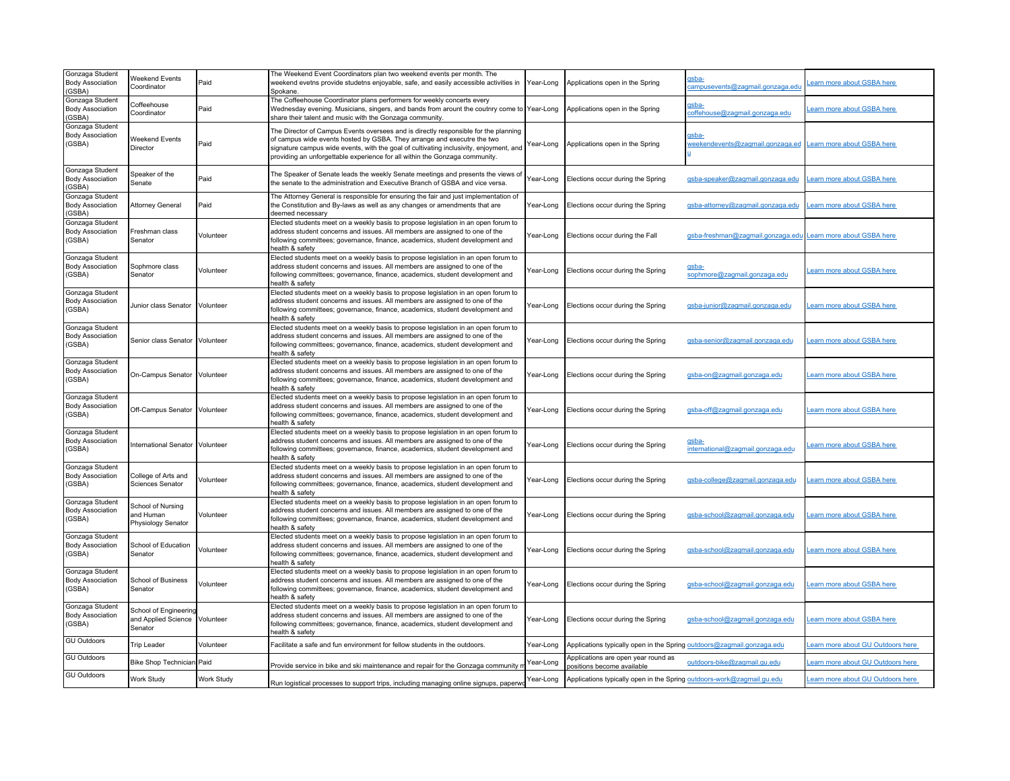| Gonzaga Student<br><b>Body Association</b><br>(GSBA) | <b>Weekend Events</b><br>Coordinator                              | Paid       | The Weekend Event Coordinators plan two weekend events per month. The<br>weekend evetns provide studetns enjoyable, safe, and easily accessible activities in<br>Spokane                                                                                                                                                                | Year-Long | Applications open in the Spring                                        | <b>usha</b><br>campusevents@zagmail.gonzaga.edu            | earn more about GSBA here         |
|------------------------------------------------------|-------------------------------------------------------------------|------------|-----------------------------------------------------------------------------------------------------------------------------------------------------------------------------------------------------------------------------------------------------------------------------------------------------------------------------------------|-----------|------------------------------------------------------------------------|------------------------------------------------------------|-----------------------------------|
| Gonzaga Student<br><b>Body Association</b><br>(GSBA) | Coffeehouse<br>Coordinator                                        | Paid       | The Coffeehouse Coordinator plans performers for weekly concerts every<br>Wednesday evening. Musicians, singers, and bands from arount the coutnry come to Year-Long<br>share their talent and music with the Gonzaga community.                                                                                                        |           | Applications open in the Spring                                        | <u> <sub>1</sub>sba-</u><br>coffehouse@zagmail.gonzaga.edu | earn more about GSBA here         |
| Gonzaga Student<br><b>Body Association</b><br>(GSBA) | Weekend Events<br>Director                                        | Paid       | The Director of Campus Events oversees and is directly responsible for the planning<br>of campus wide events hosted by GSBA. They arrange and executre the two<br>signature campus wide events, with the goal of cultivating inclusivity, enjoyment, and<br>providing an unforgettable experience for all within the Gonzaga community. | Year-Long | Applications open in the Spring                                        | weekendevents@zagmail.gonzaga.ed                           | Learn more about GSBA here        |
| Gonzaga Student<br><b>Body Association</b><br>(GSBA) | Speaker of the<br>Senate                                          | Paid       | The Speaker of Senate leads the weekly Senate meetings and presents the views of<br>the senate to the administration and Executive Branch of GSBA and vice versa.                                                                                                                                                                       | Year-Long | Elections occur during the Spring                                      | gsba-speaker@zagmail.gonzaga.edu                           | earn more about GSBA here         |
| Gonzaga Student<br><b>Body Association</b><br>(GSBA) | <b>Attorney General</b>                                           | Paid       | The Attorney General is responsible for ensuring the fair and just implementation of<br>the Constitution and By-laws as well as any changes or amendments that are<br>deemed necessary                                                                                                                                                  | Year-Long | Elections occur during the Spring                                      | gsba-attorney@zagmail.gonzaga.edu                          | earn more about GSBA here         |
| Gonzaga Student<br><b>Body Association</b><br>(GSBA) | Freshman class<br>Senator                                         | Volunteer  | Elected students meet on a weekly basis to propose legislation in an open forum to<br>address student concerns and issues. All members are assigned to one of the<br>following committees; governance, finance, academics, student development and<br>health & safety                                                                   | Year-Long | Elections occur during the Fall                                        | gsba-freshman@zagmail.gonzaga.edu                          | earn more about GSBA here         |
| Gonzaga Student<br><b>Body Association</b><br>(GSBA) | Sophmore class<br>Senator                                         | Volunteer  | Elected students meet on a weekly basis to propose legislation in an open forum to<br>address student concerns and issues. All members are assigned to one of the<br>following committees; governance, finance, academics, student development and<br>health & safety                                                                   | Year-Long | Elections occur during the Spring                                      | gsba-<br>sophmore@zagmail.gonzaga.edu                      | Learn more about GSBA here        |
| Gonzaga Student<br><b>Body Association</b><br>(GSBA) | Junior class Senator                                              | Volunteer  | Elected students meet on a weekly basis to propose legislation in an open forum to<br>address student concerns and issues. All members are assigned to one of the<br>following committees; governance, finance, academics, student development and<br>health & safety                                                                   | Year-Long | Elections occur during the Spring                                      | asba-iunior@zagmail.gonzaga.edu                            | earn more about GSBA here         |
| Gonzaga Student<br><b>Body Association</b><br>(GSBA) | Senior class Senator Volunteer                                    |            | Elected students meet on a weekly basis to propose legislation in an open forum to<br>address student concerns and issues. All members are assigned to one of the<br>following committees; governance, finance, academics, student development and<br>health & safety                                                                   | Year-Long | Elections occur during the Spring                                      | gsba-senior@zagmail.gonzaga.edu                            | earn more about GSBA here         |
| Gonzaga Student<br><b>Body Association</b><br>(GSBA) | On-Campus Senator Volunteer                                       |            | Elected students meet on a weekly basis to propose legislation in an open forum to<br>address student concerns and issues. All members are assigned to one of the<br>following committees; governance, finance, academics, student development and<br>health & safety                                                                   | Year-Long | Elections occur during the Spring                                      | qsba-on@zagmail.gonzaga.edu                                | earn more about GSBA here         |
| Gonzaga Student<br><b>Body Association</b><br>(GSBA) | Off-Campus Senator Volunteer                                      |            | Elected students meet on a weekly basis to propose legislation in an open forum to<br>address student concerns and issues. All members are assigned to one of the<br>following committees; governance, finance, academics, student development and<br>health & safety                                                                   | Year-Long | Elections occur during the Spring                                      | gsba-off@zagmail.gonzaga.edu                               | earn more about GSBA here         |
| Gonzaga Student<br><b>Body Association</b><br>(GSBA) | International Senator Volunteer                                   |            | Elected students meet on a weekly basis to propose legislation in an open forum to<br>address student concerns and issues. All members are assigned to one of the<br>following committees; governance, finance, academics, student development and<br>health & safety                                                                   | Year-Long | Elections occur during the Spring                                      | gsba-<br>international@zagmail.gonzaga.edu                 | earn more about GSBA here         |
| Gonzaga Student<br><b>Body Association</b><br>(GSBA) | College of Arts and<br>Sciences Senator                           | Volunteer  | Elected students meet on a weekly basis to propose legislation in an open forum to<br>address student concerns and issues. All members are assigned to one of the<br>following committees; governance, finance, academics, student development and<br>health & safety                                                                   | Year-Long | Elections occur during the Spring                                      | gsba-college@zagmail.gonzaga.edu                           | earn more about GSBA here         |
| Gonzaga Student<br><b>Body Association</b><br>(GSBA) | School of Nursing<br>and Human<br>Physiology Senator              | Volunteer  | Elected students meet on a weekly basis to propose legislation in an open forum to<br>address student concerns and issues. All members are assigned to one of the<br>following committees; governance, finance, academics, student development and<br>health & safety                                                                   | Year-Long | Elections occur during the Spring                                      | gsba-school@zagmail.gonzaga.edu                            | earn more about GSBA here         |
| Gonzaga Student<br><b>Body Association</b><br>(GSBA) | School of Education<br>Senator                                    | Volunteer  | Elected students meet on a weekly basis to propose legislation in an open forum to<br>address student concerns and issues. All members are assigned to one of the<br>following committees; governance, finance, academics, student development and<br>health & safety                                                                   | Year-Long | Elections occur during the Spring                                      | asba-school@zaamail.gonzaga.edu                            | earn more about GSBA here         |
| Gonzaga Student<br><b>Body Association</b><br>(GSBA) | School of Business<br>Senator                                     | Volunteer  | Elected students meet on a weekly basis to propose legislation in an open forum to<br>address student concerns and issues. All members are assigned to one of the<br>following committees; governance, finance, academics, student development and<br>health & safety                                                                   | Year-Long | Elections occur during the Spring                                      | asba-school@zagmail.gonzaga.edu                            | earn more about GSBA here         |
| Gonzaga Student<br><b>Body Association</b><br>(GSBA) | School of Engineering<br>and Applied Science Volunteer<br>Senator |            | Elected students meet on a weekly basis to propose legislation in an open forum to<br>address student concerns and issues. All members are assigned to one of the<br>following committees; governance, finance, academics, student development and<br>health & safety                                                                   | Year-Long | Elections occur during the Spring                                      | gsba-school@zagmail.gonzaga.edu                            | earn more about GSBA here         |
| <b>GU Outdoors</b>                                   | <b>Trip Leader</b>                                                | Volunteer  | Facilitate a safe and fun environment for fellow students in the outdoors.                                                                                                                                                                                                                                                              | Year-Long | Applications typically open in the Spring outdoors@zagmail.gonzaga.edu |                                                            | earn more about GU Outdoors here  |
| <b>GU Outdoors</b>                                   | <b>Bike Shop Technician Paid</b>                                  |            | Provide service in bike and ski maintenance and repair for the Gonzaga community r                                                                                                                                                                                                                                                      | Year-Long | Applications are open year round as<br>positions become available      | outdoors-bike@zagmail.gu.edu                               | earn more about GU Outdoors here  |
| <b>GU Outdoors</b>                                   | Work Study                                                        | Work Study | Run logistical processes to support trips, including managing online signups, paperwo                                                                                                                                                                                                                                                   | Year-Long | Applications typically open in the Spring outdoors-work@zagmail.gu.edu |                                                            | Learn more about GU Outdoors here |